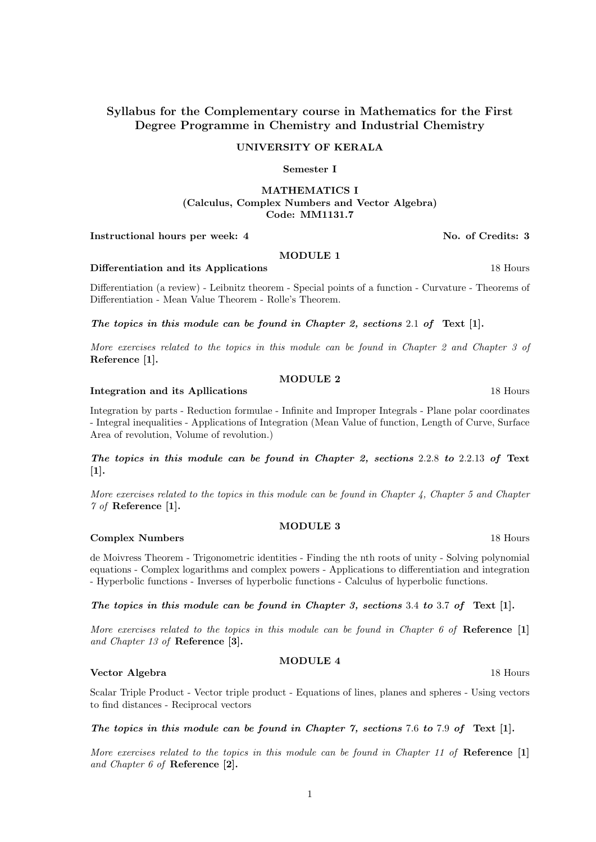# UNIVERSITY OF KERALA

# Semester I

# MATHEMATICS I (Calculus, Complex Numbers and Vector Algebra) Code: MM1131.7

# Instructional hours per week: 4 No. of Credits: 3

# MODULE 1

# Differentiation and its Applications 18 Hours 18 Hours

Differentiation (a review) - Leibnitz theorem - Special points of a function - Curvature - Theorems of Differentiation - Mean Value Theorem - Rolle's Theorem.

The topics in this module can be found in Chapter 2, sections 2.1 of Text [1].

More exercises related to the topics in this module can be found in Chapter 2 and Chapter 3 of Reference [1].

# MODULE 2

# Integration and its Apllications 18 Hours

Integration by parts - Reduction formulae - Infinite and Improper Integrals - Plane polar coordinates - Integral inequalities - Applications of Integration (Mean Value of function, Length of Curve, Surface Area of revolution, Volume of revolution.)

The topics in this module can be found in Chapter 2, sections 2.2.8 to 2.2.13 of Text [1].

More exercises related to the topics in this module can be found in Chapter 4, Chapter 5 and Chapter 7 of Reference [1].

# MODULE 3 **Complex Numbers** 18 Hours

de Moivress Theorem - Trigonometric identities - Finding the nth roots of unity - Solving polynomial equations - Complex logarithms and complex powers - Applications to differentiation and integration - Hyperbolic functions - Inverses of hyperbolic functions - Calculus of hyperbolic functions.

The topics in this module can be found in Chapter 3, sections  $3.4$  to  $3.7$  of Text [1].

More exercises related to the topics in this module can be found in Chapter 6 of Reference [1] and Chapter 13 of Reference [3].

# MODULE 4

### Vector Algebra 18 Hours and 18 Hours and 18 Hours and 18 Hours and 18 Hours and 18 Hours and 18 Hours and 18 Hours and 18 Hours and 18 Hours and 18 Hours and 18 Hours and 18 Hours and 18 Hours and 18 Hours and 18 Hours and

Scalar Triple Product - Vector triple product - Equations of lines, planes and spheres - Using vectors to find distances - Reciprocal vectors

# The topics in this module can be found in Chapter 7, sections 7.6 to 7.9 of Text  $[1]$ .

More exercises related to the topics in this module can be found in Chapter 11 of  $\mathbf{Reference}$  [1] and Chapter 6 of Reference [2].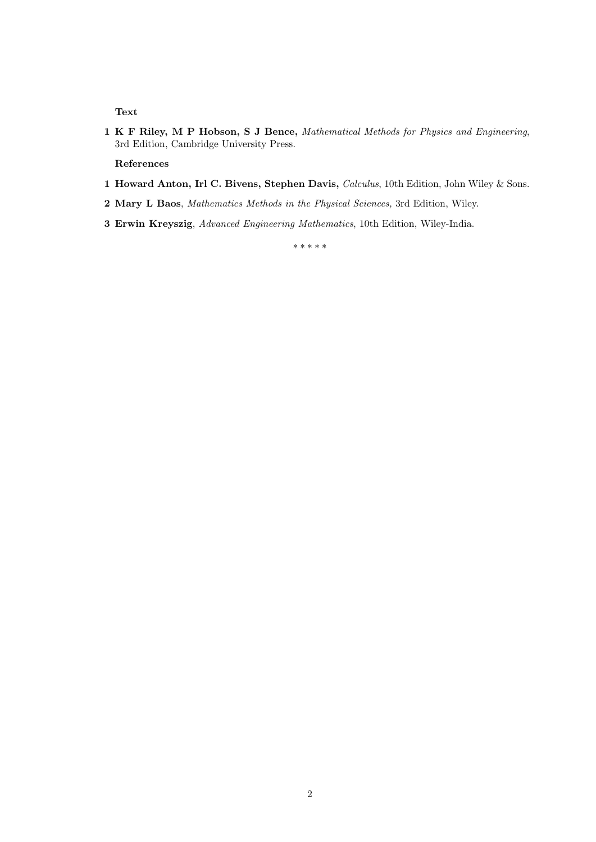Text

1 K F Riley, M P Hobson, S J Bence, Mathematical Methods for Physics and Engineering, 3rd Edition, Cambridge University Press.

References

- 1 Howard Anton, Irl C. Bivens, Stephen Davis, Calculus, 10th Edition, John Wiley & Sons.
- 2 Mary L Baos, Mathematics Methods in the Physical Sciences, 3rd Edition, Wiley.
- 3 Erwin Kreyszig, Advanced Engineering Mathematics, 10th Edition, Wiley-India.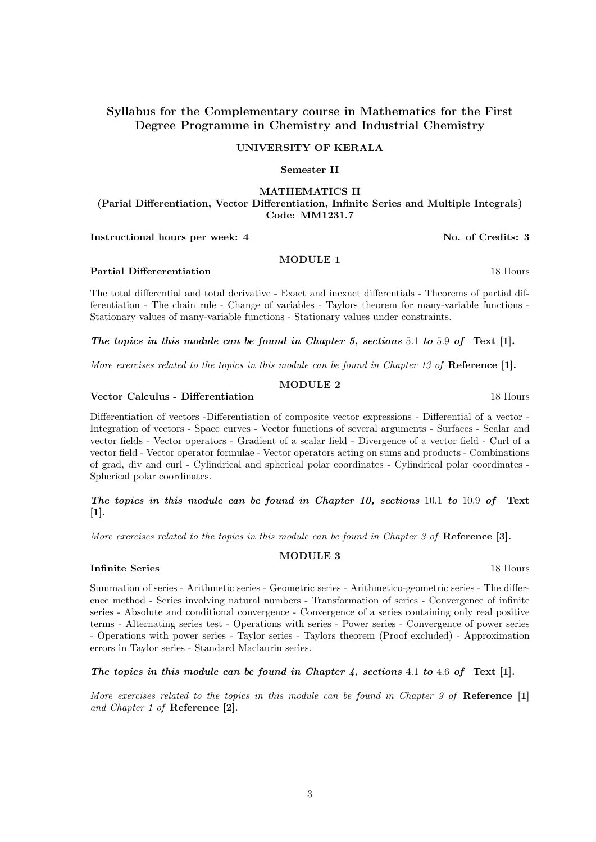### UNIVERSITY OF KERALA

# Semester II

# MATHEMATICS II

(Parial Differentiation, Vector Differentiation, Infinite Series and Multiple Integrals) Code: MM1231.7

Instructional hours per week: 4 No. of Credits: 3

### MODULE 1

Partial Differerentiation and the contract of the contract of the contract of the contract of the contract of the contract of the contract of the contract of the contract of the contract of the contract of the contract of

The total differential and total derivative - Exact and inexact differentials - Theorems of partial differentiation - The chain rule - Change of variables - Taylors theorem for many-variable functions - Stationary values of many-variable functions - Stationary values under constraints.

The topics in this module can be found in Chapter 5, sections 5.1 to 5.9 of Text [1].

More exercises related to the topics in this module can be found in Chapter 13 of Reference [1].

# MODULE 2

### Vector Calculus - Differentiation 18 Hours

Differentiation of vectors -Differentiation of composite vector expressions - Differential of a vector - Integration of vectors - Space curves - Vector functions of several arguments - Surfaces - Scalar and vector fields - Vector operators - Gradient of a scalar field - Divergence of a vector field - Curl of a vector field - Vector operator formulae - Vector operators acting on sums and products - Combinations of grad, div and curl - Cylindrical and spherical polar coordinates - Cylindrical polar coordinates - Spherical polar coordinates.

The topics in this module can be found in Chapter 10, sections 10.1 to 10.9 of Text [1].

More exercises related to the topics in this module can be found in Chapter 3 of Reference  $[3]$ .

# MODULE 3

# Infinite Series 18 Hours

Summation of series - Arithmetic series - Geometric series - Arithmetico-geometric series - The difference method - Series involving natural numbers - Transformation of series - Convergence of infinite series - Absolute and conditional convergence - Convergence of a series containing only real positive terms - Alternating series test - Operations with series - Power series - Convergence of power series - Operations with power series - Taylor series - Taylors theorem (Proof excluded) - Approximation errors in Taylor series - Standard Maclaurin series.

The topics in this module can be found in Chapter 4, sections 4.1 to 4.6 of Text [1].

More exercises related to the topics in this module can be found in Chapter 9 of  $\mathbf{Reference}$  [1] and Chapter 1 of Reference [2].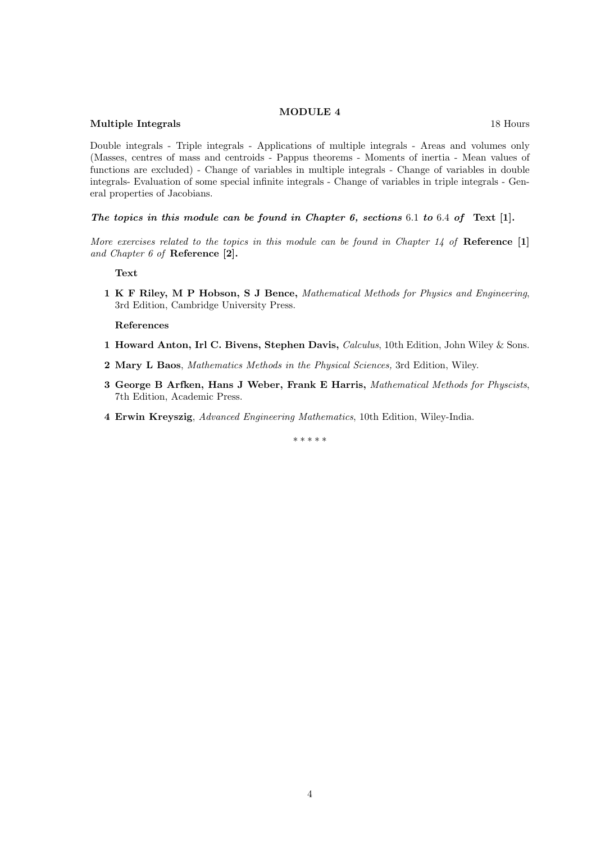#### MODULE 4

#### Multiple Integrals 18 Hours and 18 Hours and 18 Hours and 18 Hours and 18 Hours and 18 Hours and 18 Hours and 18 Hours and 18 Hours and 18 Hours and 18 Hours and 18 Hours and 18 Hours and 18 Hours and 18 Hours and 18 Hours

Double integrals - Triple integrals - Applications of multiple integrals - Areas and volumes only (Masses, centres of mass and centroids - Pappus theorems - Moments of inertia - Mean values of functions are excluded) - Change of variables in multiple integrals - Change of variables in double integrals- Evaluation of some special infinite integrals - Change of variables in triple integrals - General properties of Jacobians.

The topics in this module can be found in Chapter 6, sections  $6.1$  to  $6.4$  of Text [1].

More exercises related to the topics in this module can be found in Chapter  $14$  of Reference [1] and Chapter 6 of Reference [2].

Text

1 K F Riley, M P Hobson, S J Bence, Mathematical Methods for Physics and Engineering, 3rd Edition, Cambridge University Press.

References

- 1 Howard Anton, Irl C. Bivens, Stephen Davis, Calculus, 10th Edition, John Wiley & Sons.
- 2 Mary L Baos, Mathematics Methods in the Physical Sciences, 3rd Edition, Wiley.
- 3 George B Arfken, Hans J Weber, Frank E Harris, Mathematical Methods for Physcists, 7th Edition, Academic Press.
- 4 Erwin Kreyszig, Advanced Engineering Mathematics, 10th Edition, Wiley-India.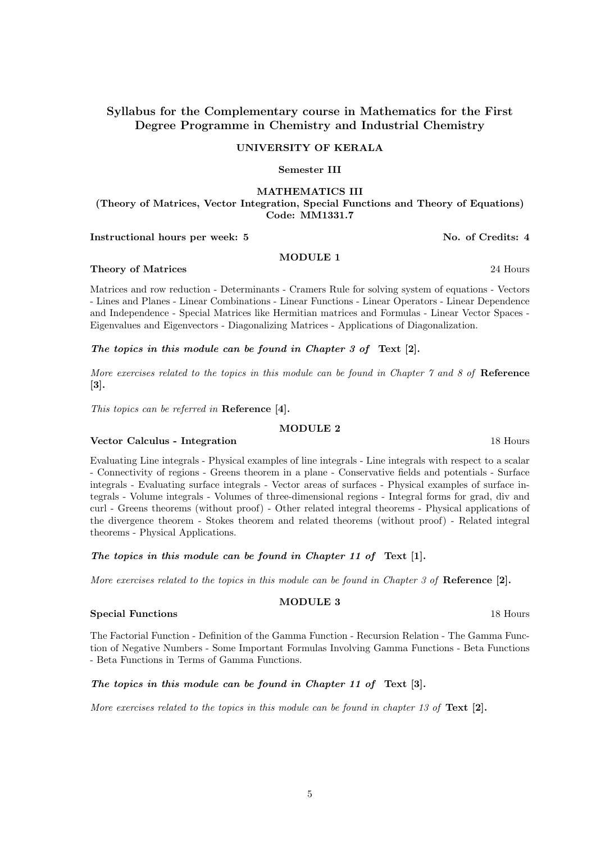### UNIVERSITY OF KERALA

# Semester III

# MATHEMATICS III

(Theory of Matrices, Vector Integration, Special Functions and Theory of Equations) Code: MM1331.7

Instructional hours per week: 5 No. of Credits: 4

### MODULE 1

Matrices and row reduction - Determinants - Cramers Rule for solving system of equations - Vectors - Lines and Planes - Linear Combinations - Linear Functions - Linear Operators - Linear Dependence and Independence - Special Matrices like Hermitian matrices and Formulas - Linear Vector Spaces - Eigenvalues and Eigenvectors - Diagonalizing Matrices - Applications of Diagonalization.

## The topics in this module can be found in Chapter 3 of Text [2].

More exercises related to the topics in this module can be found in Chapter  $\gamma$  and  $\gamma$  of Reference [3].

This topics can be referred in Reference [4].

# MODULE 2

# Vector Calculus - Integration 18 Hours

Evaluating Line integrals - Physical examples of line integrals - Line integrals with respect to a scalar - Connectivity of regions - Greens theorem in a plane - Conservative fields and potentials - Surface integrals - Evaluating surface integrals - Vector areas of surfaces - Physical examples of surface integrals - Volume integrals - Volumes of three-dimensional regions - Integral forms for grad, div and curl - Greens theorems (without proof) - Other related integral theorems - Physical applications of the divergence theorem - Stokes theorem and related theorems (without proof) - Related integral theorems - Physical Applications.

The topics in this module can be found in Chapter 11 of Text [1].

More exercises related to the topics in this module can be found in Chapter 3 of Reference  $[2]$ .

### Special Functions 18 Hours and 18 Hours 18 Hours 18 Hours 18 Hours 18 Hours 18 Hours 18 Hours 18 Hours 18 Hours 18 Hours 18 Hours 18 Hours 18 Hours 18 Hours 18 Hours 18 Hours 18 Hours 18 Hours 18 Hours 18 Hours 18 Hours 18

The Factorial Function - Definition of the Gamma Function - Recursion Relation - The Gamma Function of Negative Numbers - Some Important Formulas Involving Gamma Functions - Beta Functions - Beta Functions in Terms of Gamma Functions.

# The topics in this module can be found in Chapter 11 of Text [3].

More exercises related to the topics in this module can be found in chapter 13 of  $Text [2].$ 

Theory of Matrices 24 Hours 22 Hours 22 Hours 22 Hours 22 Hours 22 Hours 22 Hours

MODULE 3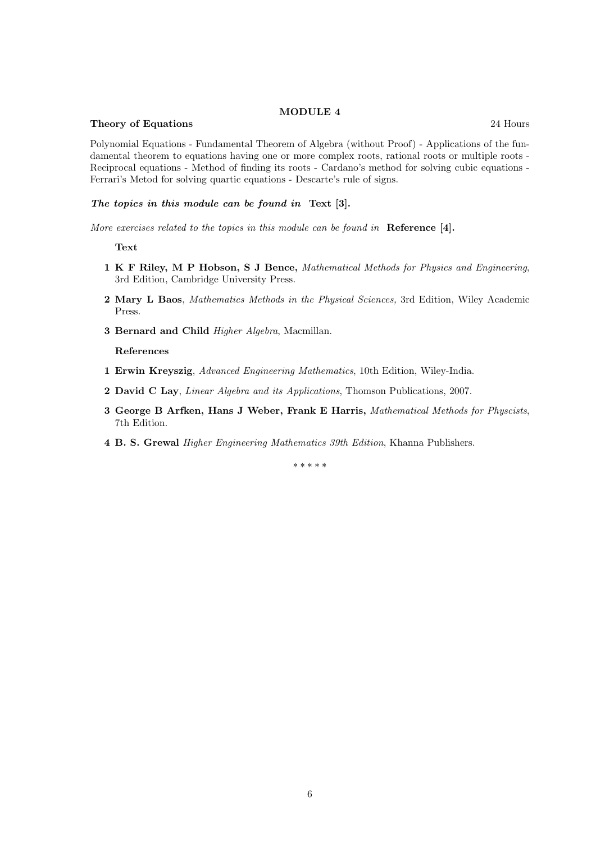#### MODULE 4

#### Theory of Equations 24 Hours 24 Hours 24 Hours 24 Hours 24 Hours 24 Hours 24 Hours 22 Hours 22 Hours 22 Hours 22 Hours 22 Hours 22 Hours 22 Hours 22 Hours 22 Hours 22 Hours 22 Hours 22 Hours 22 Hours 22 Hours 22 Hours 22 H

Polynomial Equations - Fundamental Theorem of Algebra (without Proof) - Applications of the fundamental theorem to equations having one or more complex roots, rational roots or multiple roots - Reciprocal equations - Method of finding its roots - Cardano's method for solving cubic equations - Ferrari's Metod for solving quartic equations - Descarte's rule of signs.

### The topics in this module can be found in Text [3].

More exercises related to the topics in this module can be found in Reference [4].

Text

- 1 K F Riley, M P Hobson, S J Bence, Mathematical Methods for Physics and Engineering, 3rd Edition, Cambridge University Press.
- 2 Mary L Baos, Mathematics Methods in the Physical Sciences, 3rd Edition, Wiley Academic Press.
- 3 Bernard and Child Higher Algebra, Macmillan.

References

- 1 Erwin Kreyszig, Advanced Engineering Mathematics, 10th Edition, Wiley-India.
- 2 David C Lay, Linear Algebra and its Applications, Thomson Publications, 2007.
- 3 George B Arfken, Hans J Weber, Frank E Harris, Mathematical Methods for Physcists, 7th Edition.
- 4 B. S. Grewal Higher Engineering Mathematics 39th Edition, Khanna Publishers.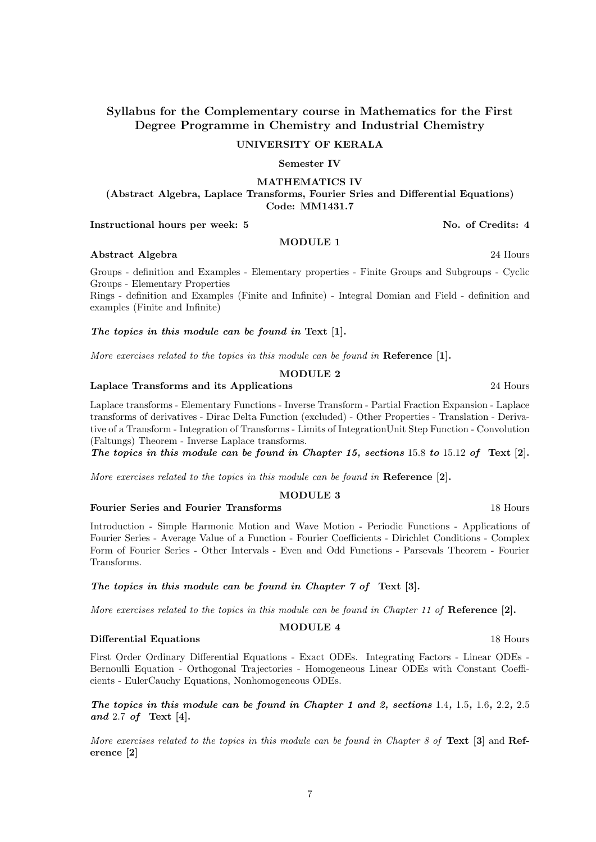### UNIVERSITY OF KERALA

## Semester IV

MATHEMATICS IV

(Abstract Algebra, Laplace Transforms, Fourier Sries and Differential Equations) Code: MM1431.7

### Instructional hours per week: 5 No. of Credits: 4

### MODULE 1 Abstract Algebra 24 Hours

Groups - definition and Examples - Elementary properties - Finite Groups and Subgroups - Cyclic

Groups - Elementary Properties Rings - definition and Examples (Finite and Infinite) - Integral Domian and Field - definition and examples (Finite and Infinite)

### The topics in this module can be found in Text [1].

More exercises related to the topics in this module can be found in **Reference** [1].

### MODULE 2

### Laplace Transforms and its Applications 24 Hours 24 Hours

Laplace transforms - Elementary Functions - Inverse Transform - Partial Fraction Expansion - Laplace transforms of derivatives - Dirac Delta Function (excluded) - Other Properties - Translation - Derivative of a Transform - Integration of Transforms - Limits of IntegrationUnit Step Function - Convolution (Faltungs) Theorem - Inverse Laplace transforms.

The topics in this module can be found in Chapter 15, sections 15.8 to 15.12 of Text [2].

More exercises related to the topics in this module can be found in  $\mathbf{Reference}$  [2].

### MODULE 3

### Fourier Series and Fourier Transforms **18 Hours** 18 Hours

Introduction - Simple Harmonic Motion and Wave Motion - Periodic Functions - Applications of Fourier Series - Average Value of a Function - Fourier Coefficients - Dirichlet Conditions - Complex Form of Fourier Series - Other Intervals - Even and Odd Functions - Parsevals Theorem - Fourier Transforms.

# The topics in this module can be found in Chapter 7 of Text [3].

More exercises related to the topics in this module can be found in Chapter 11 of Reference  $[2]$ .

# MODULE 4

### **Differential Equations** 18 Hours 18 Hours 18 Hours 18 Hours 18 Hours 18 Hours 18 Hours 18 Hours 18 Hours 18 Hours 18 Hours 18 Hours 18 Hours 18 Hours 18 Hours 18 Hours 18 Hours 18 Hours 18 Hours 18 Hours 18 Hours 18 Hours

First Order Ordinary Differential Equations - Exact ODEs. Integrating Factors - Linear ODEs - Bernoulli Equation - Orthogonal Trajectories - Homogeneous Linear ODEs with Constant Coefficients - EulerCauchy Equations, Nonhomogeneous ODEs.

The topics in this module can be found in Chapter 1 and 2, sections 1.4, 1.5, 1.6, 2.2, 2.5 and 2.7 of Text [4].

More exercises related to the topics in this module can be found in Chapter 8 of Text  $[3]$  and Reference [2]